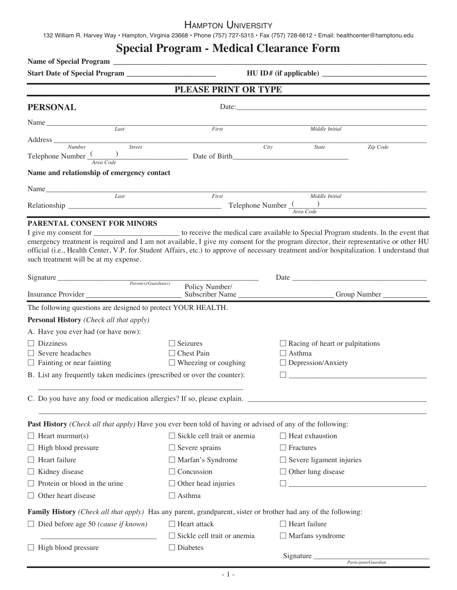### Hampton University

132 William R. Harvey Way • Hampton, Virginia 23668 • Phone (757) 727-5315 • Fax (757) 728-6612 • Email: healthcenter@hamptonu.edu

# **Special Program - Medical Clearance Form**

| PLEASE PRINT OR TYPE<br><b>PERSONAL</b>                                                                                                                                                                                                                                                                                                                                                                                                                                                          |                                                  |                                            |                      |  |  |  |
|--------------------------------------------------------------------------------------------------------------------------------------------------------------------------------------------------------------------------------------------------------------------------------------------------------------------------------------------------------------------------------------------------------------------------------------------------------------------------------------------------|--------------------------------------------------|--------------------------------------------|----------------------|--|--|--|
|                                                                                                                                                                                                                                                                                                                                                                                                                                                                                                  |                                                  |                                            |                      |  |  |  |
| Name<br>Last                                                                                                                                                                                                                                                                                                                                                                                                                                                                                     | First                                            | Middle Initial                             |                      |  |  |  |
| Street                                                                                                                                                                                                                                                                                                                                                                                                                                                                                           |                                                  |                                            | Zip Code             |  |  |  |
| Telephone Number $\frac{1}{Area \, Code}$ Date of Birth                                                                                                                                                                                                                                                                                                                                                                                                                                          |                                                  | City<br><b>State</b>                       |                      |  |  |  |
| Name and relationship of emergency contact                                                                                                                                                                                                                                                                                                                                                                                                                                                       |                                                  |                                            |                      |  |  |  |
|                                                                                                                                                                                                                                                                                                                                                                                                                                                                                                  |                                                  |                                            |                      |  |  |  |
| Last                                                                                                                                                                                                                                                                                                                                                                                                                                                                                             | First                                            | Middle Initial                             |                      |  |  |  |
|                                                                                                                                                                                                                                                                                                                                                                                                                                                                                                  |                                                  | Area Code                                  |                      |  |  |  |
| PARENTAL CONSENT FOR MINORS<br>I give my consent for _______________________ to receive the medical care available to Special Program students. In the event that<br>emergency treatment is required and I am not available, I give my consent for the program director, their representative or other HU<br>official (i.e., Health Center, V.P. for Student Affairs, etc.) to approve of necessary treatment and/or hospitalization. I understand that<br>such treatment will be at my expense. |                                                  |                                            |                      |  |  |  |
| Signature $P_{\text{arent}(s)/\text{Guardian}(s)}$                                                                                                                                                                                                                                                                                                                                                                                                                                               |                                                  | Date $\overline{\phantom{a}}$              |                      |  |  |  |
|                                                                                                                                                                                                                                                                                                                                                                                                                                                                                                  | Policy Number/                                   |                                            |                      |  |  |  |
| The following questions are designed to protect YOUR HEALTH.                                                                                                                                                                                                                                                                                                                                                                                                                                     |                                                  |                                            |                      |  |  |  |
| <b>Personal History</b> (Check all that apply)                                                                                                                                                                                                                                                                                                                                                                                                                                                   |                                                  |                                            |                      |  |  |  |
| A. Have you ever had (or have now):                                                                                                                                                                                                                                                                                                                                                                                                                                                              |                                                  |                                            |                      |  |  |  |
| $\Box$ Dizziness                                                                                                                                                                                                                                                                                                                                                                                                                                                                                 | $\Box$ Seizures                                  | $\Box$ Racing of heart or palpitations     |                      |  |  |  |
| $\Box$ Severe headaches<br>$\Box$ Fainting or near fainting                                                                                                                                                                                                                                                                                                                                                                                                                                      | $\Box$ Chest Pain<br>$\Box$ Wheezing or coughing | $\Box$ Asthma<br>$\Box$ Depression/Anxiety |                      |  |  |  |
| B. List any frequently taken medicines (prescribed or over the counter):                                                                                                                                                                                                                                                                                                                                                                                                                         |                                                  |                                            |                      |  |  |  |
| C. Do you have any food or medication allergies? If so, please explain.                                                                                                                                                                                                                                                                                                                                                                                                                          |                                                  |                                            |                      |  |  |  |
| Past History (Check all that apply) Have you ever been told of having or advised of any of the following:                                                                                                                                                                                                                                                                                                                                                                                        |                                                  |                                            |                      |  |  |  |
| $\Box$ Heart murmur(s)                                                                                                                                                                                                                                                                                                                                                                                                                                                                           | $\Box$ Sickle cell trait or anemia               | $\Box$ Heat exhaustion                     |                      |  |  |  |
| $\Box$ High blood pressure                                                                                                                                                                                                                                                                                                                                                                                                                                                                       | $\Box$ Severe sprains                            | $\Box$ Fractures                           |                      |  |  |  |
| $\Box$ Heart failure                                                                                                                                                                                                                                                                                                                                                                                                                                                                             | $\Box$ Marfan's Syndrome                         | $\Box$ Severe ligament injuries            |                      |  |  |  |
| □ Kidney disease                                                                                                                                                                                                                                                                                                                                                                                                                                                                                 | $\Box$ Concussion                                | $\Box$ Other lung disease                  |                      |  |  |  |
| $\Box$ Protein or blood in the urine                                                                                                                                                                                                                                                                                                                                                                                                                                                             | $\Box$ Other head injuries                       |                                            |                      |  |  |  |
| $\Box$ Other heart disease                                                                                                                                                                                                                                                                                                                                                                                                                                                                       | $\Box$ Asthma                                    |                                            |                      |  |  |  |
| Family History (Check all that apply) Has any parent, grandparent, sister or brother had any of the following:                                                                                                                                                                                                                                                                                                                                                                                   |                                                  |                                            |                      |  |  |  |
| $\Box$ Died before age 50 (cause if known)                                                                                                                                                                                                                                                                                                                                                                                                                                                       | $\Box$ Heart attack                              | $\Box$ Heart failure                       |                      |  |  |  |
|                                                                                                                                                                                                                                                                                                                                                                                                                                                                                                  | $\Box$ Sickle cell trait or anemia               | $\Box$ Marfans syndrome                    |                      |  |  |  |
| $\Box$ High blood pressure                                                                                                                                                                                                                                                                                                                                                                                                                                                                       | $\Box$ Diabetes                                  |                                            |                      |  |  |  |
|                                                                                                                                                                                                                                                                                                                                                                                                                                                                                                  |                                                  | Signature                                  | Participant/Guardian |  |  |  |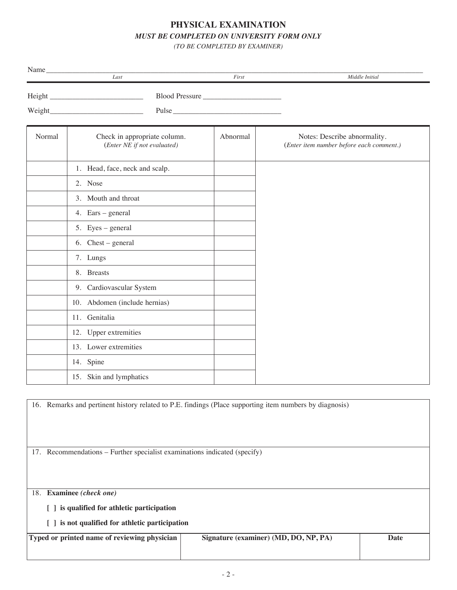## **PHYSICAL EXAMINATION** *MUST BE COMPLETED ON UNIVERSITY FORM ONLY*

*(TO BE COMPLETED BY EXAMINER)*

| Name   | Last                                                                                                    | First          | Middle Initial                                                           |
|--------|---------------------------------------------------------------------------------------------------------|----------------|--------------------------------------------------------------------------|
|        |                                                                                                         | Blood Pressure |                                                                          |
|        |                                                                                                         | Pulse          |                                                                          |
| Normal | Check in appropriate column.<br>(Enter NE if not evaluated)                                             | Abnormal       | Notes: Describe abnormality.<br>(Enter item number before each comment.) |
|        | 1. Head, face, neck and scalp.                                                                          |                |                                                                          |
|        | 2. Nose                                                                                                 |                |                                                                          |
|        | 3. Mouth and throat                                                                                     |                |                                                                          |
|        | 4. Ears – general                                                                                       |                |                                                                          |
|        | 5. Eyes – general                                                                                       |                |                                                                          |
|        | 6. Chest – general                                                                                      |                |                                                                          |
|        | 7. Lungs                                                                                                |                |                                                                          |
|        | 8. Breasts                                                                                              |                |                                                                          |
|        | 9. Cardiovascular System                                                                                |                |                                                                          |
|        | 10. Abdomen (include hernias)                                                                           |                |                                                                          |
|        | 11. Genitalia                                                                                           |                |                                                                          |
|        | 12. Upper extremities                                                                                   |                |                                                                          |
|        | 13. Lower extremities                                                                                   |                |                                                                          |
|        | 14. Spine                                                                                               |                |                                                                          |
|        | 15. Skin and lymphatics                                                                                 |                |                                                                          |
|        | 16. Remarks and pertinent history related to P.E. findings (Place supporting item numbers by diagnosis) |                |                                                                          |
|        | 17. Recommendations - Further specialist examinations indicated (specify)                               |                |                                                                          |
|        | 18. Examinee (check one)                                                                                |                |                                                                          |
|        | [ ] is qualified for athletic participation                                                             |                |                                                                          |
|        | [ ] is not qualified for athletic participation                                                         |                |                                                                          |

| Typed or printed name of reviewing physician | Signature (examiner) (MD, DO, NP, PA) | Date |
|----------------------------------------------|---------------------------------------|------|
|                                              |                                       |      |